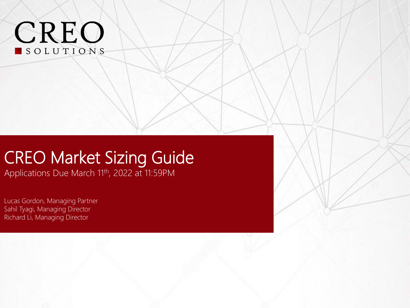# **CREO**

### CREO Market Sizing Guide

Applications Due March 11<sup>th</sup>, 2022 at 11:59PM

Lucas Gordon, Managing Partner Sahil Tyagi, Managing Director Richard Li, Managing Director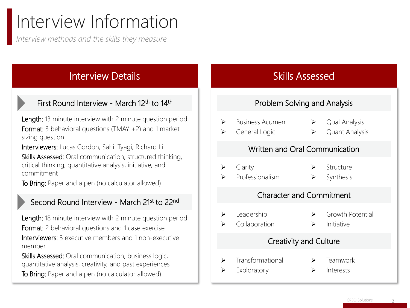# Interview Information

*Interview methods and the skills they measure* 

#### Interview Details

#### First Round Interview - March 12<sup>th</sup> to 14<sup>th</sup>

Length: 13 minute interview with 2 minute question period Format: 3 behavioral questions (TMAY +2) and 1 market sizing question

Interviewers: Lucas Gordon, Sahil Tyagi, Richard Li Skills Assessed: Oral communication, structured thinking, critical thinking, quantitative analysis, initiative, and commitment

To Bring: Paper and a pen (no calculator allowed)

#### Second Round Interview - March 21st to 22<sup>nd</sup>

Length: 18 minute interview with 2 minute question period Format: 2 behavioral questions and 1 case exercise Interviewers: 3 executive members and 1 non-executive member

Skills Assessed: Oral communication, business logic, quantitative analysis, creativity, and past experiences To Bring: Paper and a pen (no calculator allowed)

#### Skills Assessed

#### Problem Solving and Analysis

- ➢ Business Acumen
- 
- General Logic
- ➢ Qual Analysis
- ➢ Quant Analysis

**Structure** 

#### Written and Oral Communication

➢ Clarity

Professionalism

➢ Synthesis

#### Character and Commitment

➢ Leadership

- ➢ Growth Potential
- ➢ Collaboration ➢ Initiative

#### Creativity and Culture

- ➢ Transformational **Teamwork**
- ➢ Exploratory **Interests**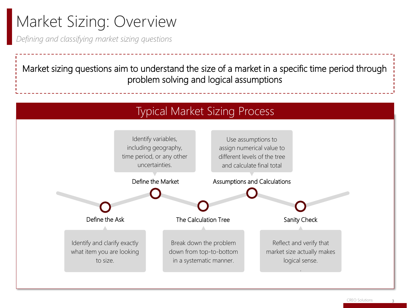### Market Sizing: Overview

*Defining and classifying market sizing questions*

Market sizing questions aim to understand the size of a market in a specific time period through problem solving and logical assumptions

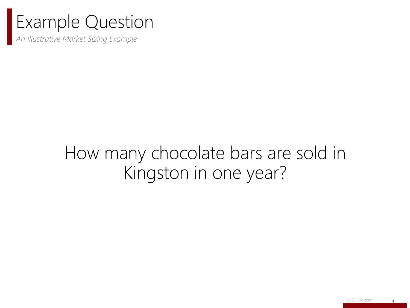### Example Question

*An Illustrative Market Sizing Example*

### How many chocolate bars are sold in Kingston in one year?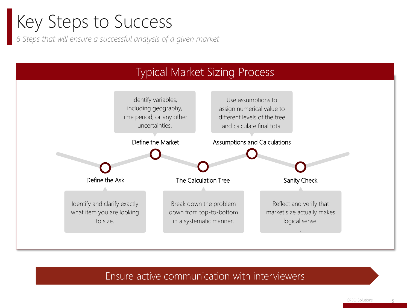# Key Steps to Success

*6 Steps that will ensure a successful analysis of a given market*



#### Ensure active communication with interviewers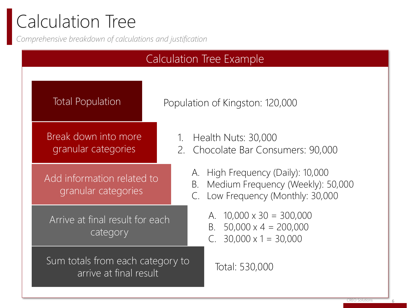# Calculation Tree

*Comprehensive breakdown of calculations and justification*

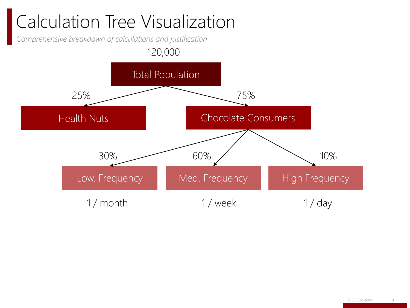# Calculation Tree Visualization

*Comprehensive breakdown of calculations and justification*

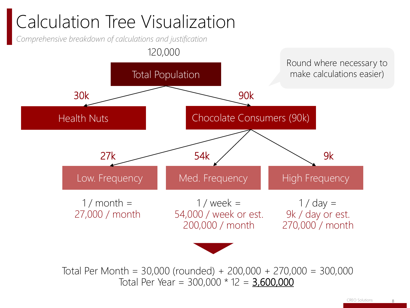# Calculation Tree Visualization

*Comprehensive breakdown of calculations and justification*



Total Per Month = 30,000 (rounded) + 200,000 + 270,000 = 300,000 Total Per Year =  $300,000 * 12 = 3,600,000$